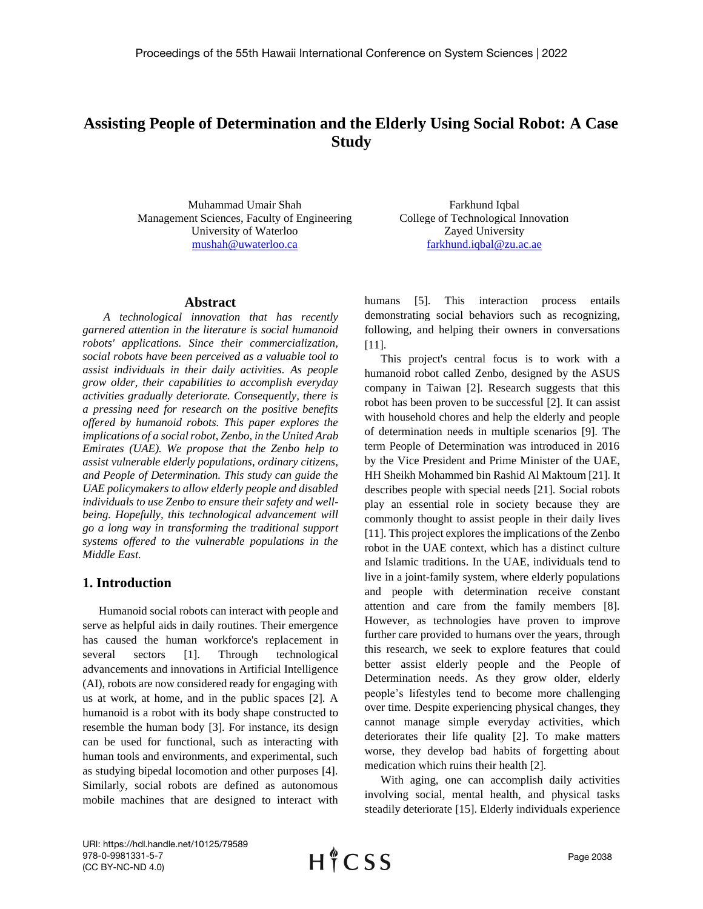# **Assisting People of Determination and the Elderly Using Social Robot: A Case Study**

Muhammad Umair Shah Management Sciences, Faculty of Engineering University of Waterloo [mushah@uwaterloo.ca](mailto:mushah@uwaterloo.ca)

Farkhund Iqbal College of Technological Innovation Zayed University [farkhund.iqbal@zu.ac.ae](mailto:farkhund.iqbal@zu.ac.ae)

#### **Abstract**

*A technological innovation that has recently garnered attention in the literature is social humanoid robots' applications. Since their commercialization, social robots have been perceived as a valuable tool to assist individuals in their daily activities. As people grow older, their capabilities to accomplish everyday activities gradually deteriorate. Consequently, there is a pressing need for research on the positive benefits offered by humanoid robots. This paper explores the implications of a social robot, Zenbo, in the United Arab Emirates (UAE). We propose that the Zenbo help to assist vulnerable elderly populations, ordinary citizens, and People of Determination. This study can guide the UAE policymakers to allow elderly people and disabled individuals to use Zenbo to ensure their safety and wellbeing. Hopefully, this technological advancement will go a long way in transforming the traditional support systems offered to the vulnerable populations in the Middle East.*

# **1. Introduction**

Humanoid social robots can interact with people and serve as helpful aids in daily routines. Their emergence has caused the human workforce's replacement in several sectors [1]. Through technological advancements and innovations in Artificial Intelligence (AI), robots are now considered ready for engaging with us at work, at home, and in the public spaces [2]. A humanoid is a robot with its body shape constructed to resemble the human body [3]. For instance, its design can be used for functional, such as interacting with human tools and environments, and experimental, such as studying bipedal locomotion and other purposes [4]. Similarly, social robots are defined as autonomous mobile machines that are designed to interact with humans [5]. This interaction process entails demonstrating social behaviors such as recognizing, following, and helping their owners in conversations [11].

This project's central focus is to work with a humanoid robot called Zenbo, designed by the ASUS company in Taiwan [2]. Research suggests that this robot has been proven to be successful [2]. It can assist with household chores and help the elderly and people of determination needs in multiple scenarios [9]. The term People of Determination was introduced in 2016 by the Vice President and Prime Minister of the UAE, HH Sheikh Mohammed bin Rashid Al Maktoum [21]. It describes people with special needs [21]. Social robots play an essential role in society because they are commonly thought to assist people in their daily lives [11]. This project explores the implications of the Zenbo robot in the UAE context, which has a distinct culture and Islamic traditions. In the UAE, individuals tend to live in a joint-family system, where elderly populations and people with determination receive constant attention and care from the family members [8]. However, as technologies have proven to improve further care provided to humans over the years, through this research, we seek to explore features that could better assist elderly people and the People of Determination needs. As they grow older, elderly people's lifestyles tend to become more challenging over time. Despite experiencing physical changes, they cannot manage simple everyday activities, which deteriorates their life quality [2]. To make matters worse, they develop bad habits of forgetting about medication which ruins their health [2].

With aging, one can accomplish daily activities involving social, mental health, and physical tasks steadily deteriorate [15]. Elderly individuals experience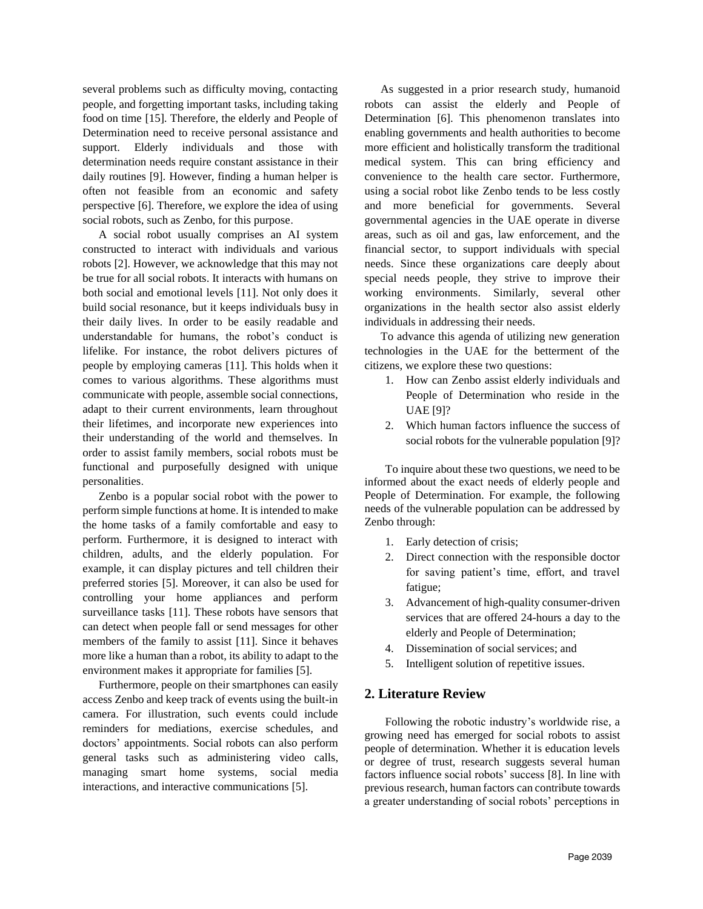several problems such as difficulty moving, contacting people, and forgetting important tasks, including taking food on time [15]. Therefore, the elderly and People of Determination need to receive personal assistance and support. Elderly individuals and those with determination needs require constant assistance in their daily routines [9]. However, finding a human helper is often not feasible from an economic and safety perspective [6]. Therefore, we explore the idea of using social robots, such as Zenbo, for this purpose.

A social robot usually comprises an AI system constructed to interact with individuals and various robots [2]. However, we acknowledge that this may not be true for all social robots. It interacts with humans on both social and emotional levels [11]. Not only does it build social resonance, but it keeps individuals busy in their daily lives. In order to be easily readable and understandable for humans, the robot's conduct is lifelike. For instance, the robot delivers pictures of people by employing cameras [11]. This holds when it comes to various algorithms. These algorithms must communicate with people, assemble social connections, adapt to their current environments, learn throughout their lifetimes, and incorporate new experiences into their understanding of the world and themselves. In order to assist family members, social robots must be functional and purposefully designed with unique personalities.

Zenbo is a popular social robot with the power to perform simple functions at home. It is intended to make the home tasks of a family comfortable and easy to perform. Furthermore, it is designed to interact with children, adults, and the elderly population. For example, it can display pictures and tell children their preferred stories [5]. Moreover, it can also be used for controlling your home appliances and perform surveillance tasks [11]. These robots have sensors that can detect when people fall or send messages for other members of the family to assist [11]. Since it behaves more like a human than a robot, its ability to adapt to the environment makes it appropriate for families [5].

Furthermore, people on their smartphones can easily access Zenbo and keep track of events using the built-in camera. For illustration, such events could include reminders for mediations, exercise schedules, and doctors' appointments. Social robots can also perform general tasks such as administering video calls, managing smart home systems, social media interactions, and interactive communications [5].

As suggested in a prior research study, humanoid robots can assist the elderly and People of Determination [6]. This phenomenon translates into enabling governments and health authorities to become more efficient and holistically transform the traditional medical system. This can bring efficiency and convenience to the health care sector. Furthermore, using a social robot like Zenbo tends to be less costly and more beneficial for governments. Several governmental agencies in the UAE operate in diverse areas, such as oil and gas, law enforcement, and the financial sector, to support individuals with special needs. Since these organizations care deeply about special needs people, they strive to improve their working environments. Similarly, several other organizations in the health sector also assist elderly individuals in addressing their needs.

To advance this agenda of utilizing new generation technologies in the UAE for the betterment of the citizens, we explore these two questions:

- 1. How can Zenbo assist elderly individuals and People of Determination who reside in the UAE [9]?
- 2. Which human factors influence the success of social robots for the vulnerable population [9]?

To inquire about these two questions, we need to be informed about the exact needs of elderly people and People of Determination. For example, the following needs of the vulnerable population can be addressed by Zenbo through:

- 1. Early detection of crisis;
- 2. Direct connection with the responsible doctor for saving patient's time, effort, and travel fatigue;
- 3. Advancement of high-quality consumer-driven services that are offered 24-hours a day to the elderly and People of Determination;
- 4. Dissemination of social services; and
- 5. Intelligent solution of repetitive issues.

# **2. Literature Review**

Following the robotic industry's worldwide rise, a growing need has emerged for social robots to assist people of determination. Whether it is education levels or degree of trust, research suggests several human factors influence social robots' success [8]. In line with previous research, human factors can contribute towards a greater understanding of social robots' perceptions in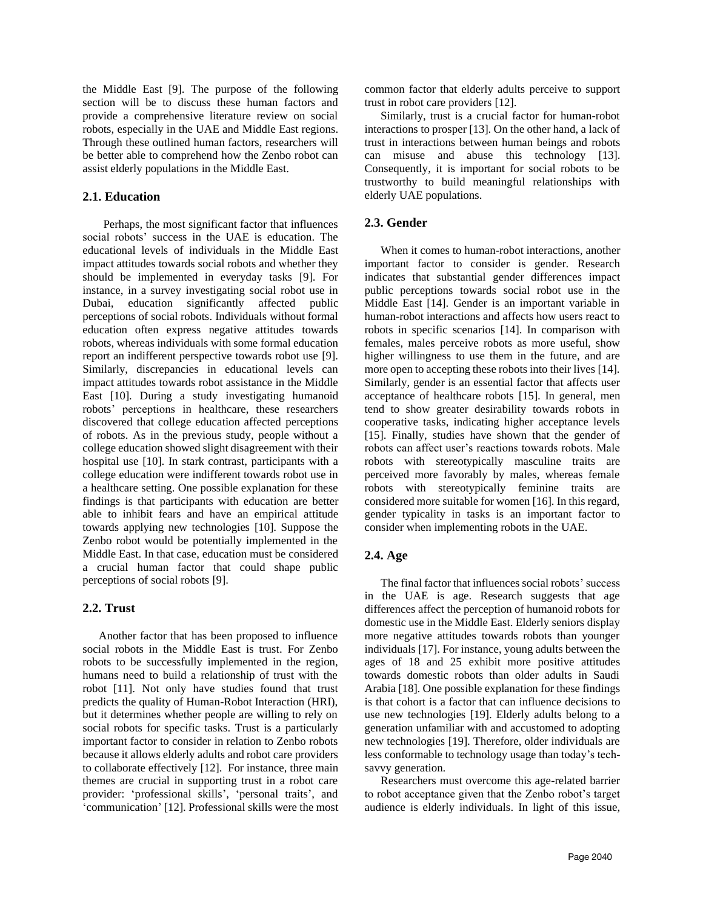the Middle East [9]. The purpose of the following section will be to discuss these human factors and provide a comprehensive literature review on social robots, especially in the UAE and Middle East regions. Through these outlined human factors, researchers will be better able to comprehend how the Zenbo robot can assist elderly populations in the Middle East.

#### **2.1. Education**

Perhaps, the most significant factor that influences social robots' success in the UAE is education. The educational levels of individuals in the Middle East impact attitudes towards social robots and whether they should be implemented in everyday tasks [9]. For instance, in a survey investigating social robot use in Dubai, education significantly affected public perceptions of social robots. Individuals without formal education often express negative attitudes towards robots, whereas individuals with some formal education report an indifferent perspective towards robot use [9]. Similarly, discrepancies in educational levels can impact attitudes towards robot assistance in the Middle East [10]. During a study investigating humanoid robots' perceptions in healthcare, these researchers discovered that college education affected perceptions of robots. As in the previous study, people without a college education showed slight disagreement with their hospital use [10]. In stark contrast, participants with a college education were indifferent towards robot use in a healthcare setting. One possible explanation for these findings is that participants with education are better able to inhibit fears and have an empirical attitude towards applying new technologies [10]. Suppose the Zenbo robot would be potentially implemented in the Middle East. In that case, education must be considered a crucial human factor that could shape public perceptions of social robots [9].

#### **2.2. Trust**

Another factor that has been proposed to influence social robots in the Middle East is trust. For Zenbo robots to be successfully implemented in the region, humans need to build a relationship of trust with the robot [11]. Not only have studies found that trust predicts the quality of Human-Robot Interaction (HRI), but it determines whether people are willing to rely on social robots for specific tasks. Trust is a particularly important factor to consider in relation to Zenbo robots because it allows elderly adults and robot care providers to collaborate effectively [12]. For instance, three main themes are crucial in supporting trust in a robot care provider: 'professional skills', 'personal traits', and 'communication' [12]. Professional skills were the most

common factor that elderly adults perceive to support trust in robot care providers [12].

Similarly, trust is a crucial factor for human-robot interactions to prosper [13]. On the other hand, a lack of trust in interactions between human beings and robots can misuse and abuse this technology [13]. Consequently, it is important for social robots to be trustworthy to build meaningful relationships with elderly UAE populations.

#### **2.3. Gender**

When it comes to human-robot interactions, another important factor to consider is gender. Research indicates that substantial gender differences impact public perceptions towards social robot use in the Middle East [14]. Gender is an important variable in human-robot interactions and affects how users react to robots in specific scenarios [14]. In comparison with females, males perceive robots as more useful, show higher willingness to use them in the future, and are more open to accepting these robots into their lives [14]. Similarly, gender is an essential factor that affects user acceptance of healthcare robots [15]. In general, men tend to show greater desirability towards robots in cooperative tasks, indicating higher acceptance levels [15]. Finally, studies have shown that the gender of robots can affect user's reactions towards robots. Male robots with stereotypically masculine traits are perceived more favorably by males, whereas female robots with stereotypically feminine traits are considered more suitable for women [16]. In this regard, gender typicality in tasks is an important factor to consider when implementing robots in the UAE.

#### **2.4. Age**

The final factor that influences social robots' success in the UAE is age. Research suggests that age differences affect the perception of humanoid robots for domestic use in the Middle East. Elderly seniors display more negative attitudes towards robots than younger individuals [17]. For instance, young adults between the ages of 18 and 25 exhibit more positive attitudes towards domestic robots than older adults in Saudi Arabia [18]. One possible explanation for these findings is that cohort is a factor that can influence decisions to use new technologies [19]. Elderly adults belong to a generation unfamiliar with and accustomed to adopting new technologies [19]. Therefore, older individuals are less conformable to technology usage than today's techsavvy generation.

Researchers must overcome this age-related barrier to robot acceptance given that the Zenbo robot's target audience is elderly individuals. In light of this issue,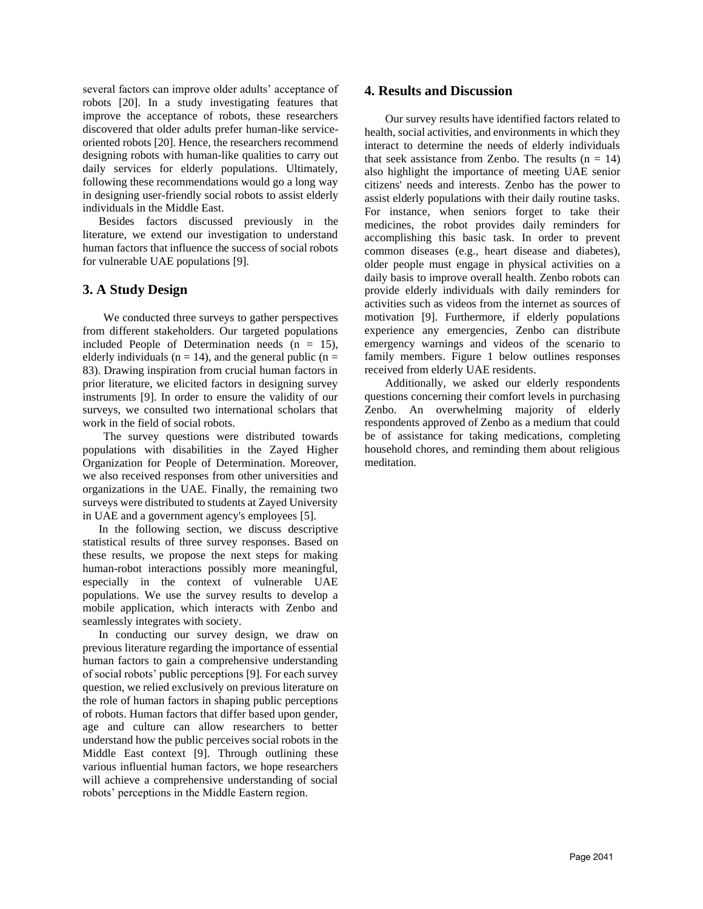several factors can improve older adults' acceptance of robots [20]. In a study investigating features that improve the acceptance of robots, these researchers discovered that older adults prefer human-like serviceoriented robots [20]. Hence, the researchers recommend designing robots with human-like qualities to carry out daily services for elderly populations. Ultimately, following these recommendations would go a long way in designing user-friendly social robots to assist elderly individuals in the Middle East.

Besides factors discussed previously in the literature, we extend our investigation to understand human factors that influence the success of social robots for vulnerable UAE populations [9].

# **3. A Study Design**

We conducted three surveys to gather perspectives from different stakeholders. Our targeted populations included People of Determination needs  $(n = 15)$ , elderly individuals ( $n = 14$ ), and the general public ( $n =$ 83). Drawing inspiration from crucial human factors in prior literature, we elicited factors in designing survey instruments [9]. In order to ensure the validity of our surveys, we consulted two international scholars that work in the field of social robots.

The survey questions were distributed towards populations with disabilities in the Zayed Higher Organization for People of Determination. Moreover, we also received responses from other universities and organizations in the UAE. Finally, the remaining two surveys were distributed to students at Zayed University in UAE and a government agency's employees [5].

In the following section, we discuss descriptive statistical results of three survey responses. Based on these results, we propose the next steps for making human-robot interactions possibly more meaningful, especially in the context of vulnerable UAE populations. We use the survey results to develop a mobile application, which interacts with Zenbo and seamlessly integrates with society.

In conducting our survey design, we draw on previous literature regarding the importance of essential human factors to gain a comprehensive understanding of social robots' public perceptions [9]. For each survey question, we relied exclusively on previous literature on the role of human factors in shaping public perceptions of robots. Human factors that differ based upon gender, age and culture can allow researchers to better understand how the public perceives social robots in the Middle East context [9]. Through outlining these various influential human factors, we hope researchers will achieve a comprehensive understanding of social robots' perceptions in the Middle Eastern region.

#### **4. Results and Discussion**

Our survey results have identified factors related to health, social activities, and environments in which they interact to determine the needs of elderly individuals that seek assistance from Zenbo. The results  $(n = 14)$ also highlight the importance of meeting UAE senior citizens' needs and interests. Zenbo has the power to assist elderly populations with their daily routine tasks. For instance, when seniors forget to take their medicines, the robot provides daily reminders for accomplishing this basic task. In order to prevent common diseases (e.g., heart disease and diabetes), older people must engage in physical activities on a daily basis to improve overall health. Zenbo robots can provide elderly individuals with daily reminders for activities such as videos from the internet as sources of motivation [9]. Furthermore, if elderly populations experience any emergencies, Zenbo can distribute emergency warnings and videos of the scenario to family members. Figure 1 below outlines responses received from elderly UAE residents.

Additionally, we asked our elderly respondents questions concerning their comfort levels in purchasing Zenbo. An overwhelming majority of elderly respondents approved of Zenbo as a medium that could be of assistance for taking medications, completing household chores, and reminding them about religious meditation.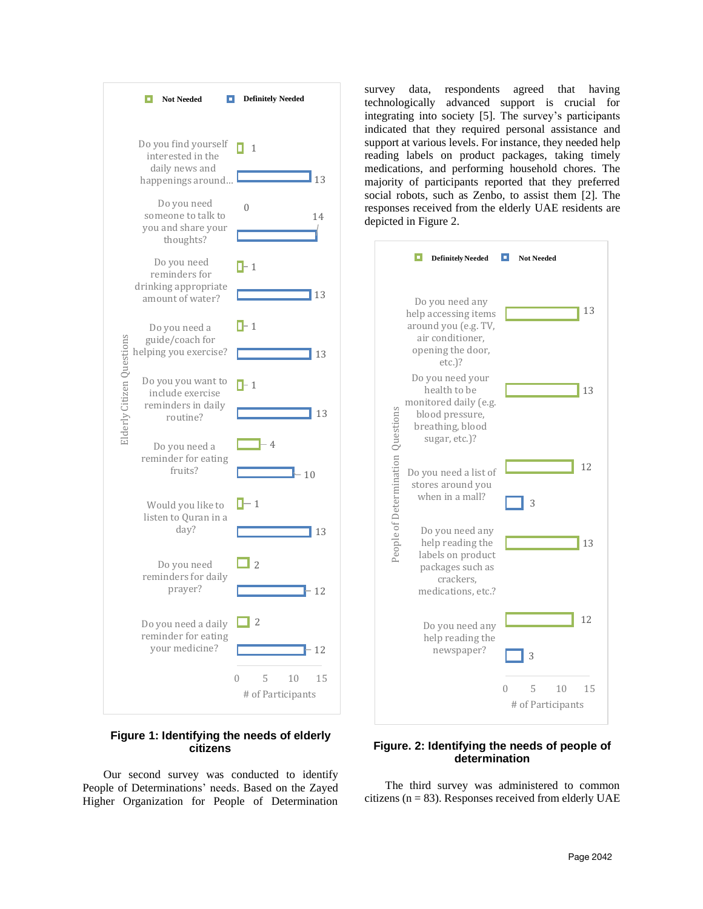

#### **Figure 1: Identifying the needs of elderly citizens**

Our second survey was conducted to identify People of Determinations' needs. Based on the Zayed Higher Organization for People of Determination

survey data, respondents agreed that having technologically advanced support is crucial for integrating into society [5]. The survey's participants indicated that they required personal assistance and support at various levels. For instance, they needed help reading labels on product packages, taking timely medications, and performing household chores. The majority of participants reported that they preferred social robots, such as Zenbo, to assist them [2]. The responses received from the elderly UAE residents are depicted in Figure 2.



# **Figure. 2: Identifying the needs of people of determination**

The third survey was administered to common citizens ( $n = 83$ ). Responses received from elderly UAE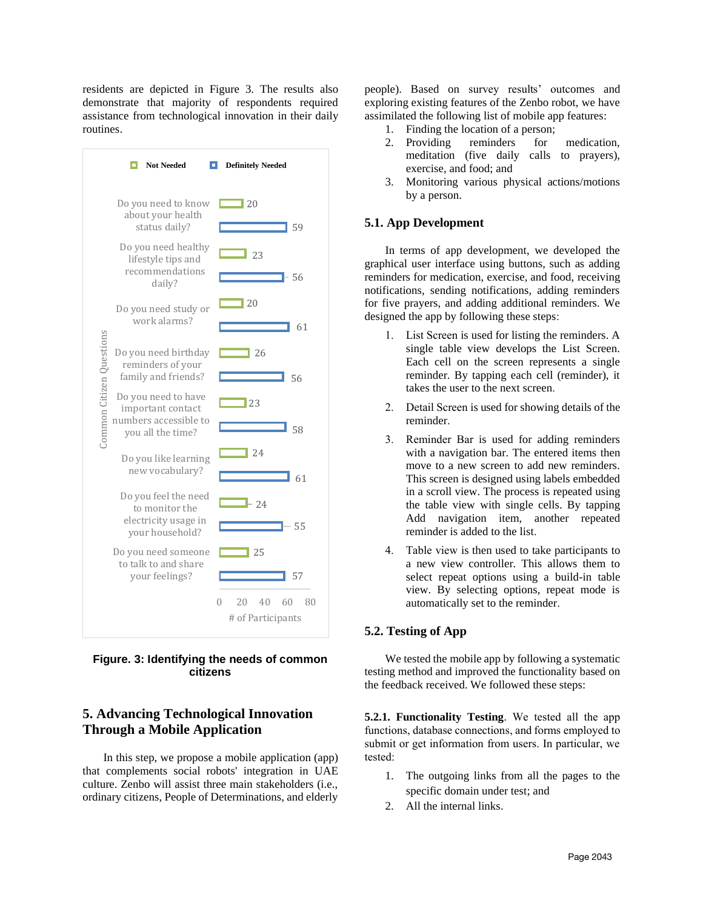residents are depicted in Figure 3. The results also demonstrate that majority of respondents required assistance from technological innovation in their daily routines.



**Figure. 3: Identifying the needs of common citizens**

# **5. Advancing Technological Innovation Through a Mobile Application**

In this step, we propose a mobile application (app) that complements social robots' integration in UAE culture. Zenbo will assist three main stakeholders (i.e., ordinary citizens, People of Determinations, and elderly

people). Based on survey results' outcomes and exploring existing features of the Zenbo robot, we have assimilated the following list of mobile app features:

- 1. Finding the location of a person;
- 2. Providing reminders for medication, meditation (five daily calls to prayers), exercise, and food; and
- 3. Monitoring various physical actions/motions by a person.

#### **5.1. App Development**

In terms of app development, we developed the graphical user interface using buttons, such as adding reminders for medication, exercise, and food, receiving notifications, sending notifications, adding reminders for five prayers, and adding additional reminders. We designed the app by following these steps:

- 1. List Screen is used for listing the reminders. A single table view develops the List Screen. Each cell on the screen represents a single reminder. By tapping each cell (reminder), it takes the user to the next screen.
- 2. Detail Screen is used for showing details of the reminder.
- 3. Reminder Bar is used for adding reminders with a navigation bar. The entered items then move to a new screen to add new reminders. This screen is designed using labels embedded in a scroll view. The process is repeated using the table view with single cells. By tapping Add navigation item, another repeated reminder is added to the list.
- 4. Table view is then used to take participants to a new view controller. This allows them to select repeat options using a build-in table view. By selecting options, repeat mode is automatically set to the reminder.

# **5.2. Testing of App**

We tested the mobile app by following a systematic testing method and improved the functionality based on the feedback received. We followed these steps:

**5.2.1. Functionality Testing**. We tested all the app functions, database connections, and forms employed to submit or get information from users. In particular, we tested:

- 1. The outgoing links from all the pages to the specific domain under test; and
- 2. All the internal links.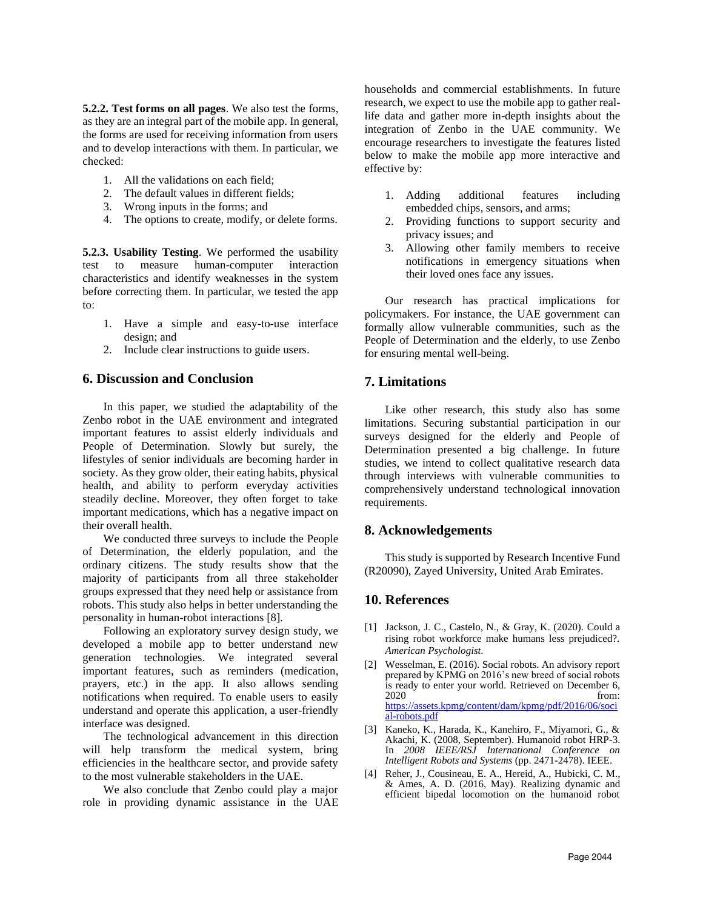**5.2.2. Test forms on all pages**. We also test the forms, as they are an integral part of the mobile app. In general, the forms are used for receiving information from users and to develop interactions with them. In particular, we checked:

- 1. All the validations on each field;
- 2. The default values in different fields;
- 3. Wrong inputs in the forms; and
- 4. The options to create, modify, or delete forms.

**5.2.3. Usability Testing**. We performed the usability test to measure human-computer interaction characteristics and identify weaknesses in the system before correcting them. In particular, we tested the app to:

- 1. Have a simple and easy-to-use interface design; and
- 2. Include clear instructions to guide users.

# **6. Discussion and Conclusion**

In this paper, we studied the adaptability of the Zenbo robot in the UAE environment and integrated important features to assist elderly individuals and People of Determination. Slowly but surely, the lifestyles of senior individuals are becoming harder in society. As they grow older, their eating habits, physical health, and ability to perform everyday activities steadily decline. Moreover, they often forget to take important medications, which has a negative impact on their overall health.

We conducted three surveys to include the People of Determination, the elderly population, and the ordinary citizens. The study results show that the majority of participants from all three stakeholder groups expressed that they need help or assistance from robots. This study also helps in better understanding the personality in human-robot interactions [8].

Following an exploratory survey design study, we developed a mobile app to better understand new generation technologies. We integrated several important features, such as reminders (medication, prayers, etc.) in the app. It also allows sending notifications when required. To enable users to easily understand and operate this application, a user-friendly interface was designed.

The technological advancement in this direction will help transform the medical system, bring efficiencies in the healthcare sector, and provide safety to the most vulnerable stakeholders in the UAE.

We also conclude that Zenbo could play a major role in providing dynamic assistance in the UAE households and commercial establishments. In future research, we expect to use the mobile app to gather reallife data and gather more in-depth insights about the integration of Zenbo in the UAE community. We encourage researchers to investigate the features listed below to make the mobile app more interactive and effective by:

- 1. Adding additional features including embedded chips, sensors, and arms;
- 2. Providing functions to support security and privacy issues; and
- 3. Allowing other family members to receive notifications in emergency situations when their loved ones face any issues.

Our research has practical implications for policymakers. For instance, the UAE government can formally allow vulnerable communities, such as the People of Determination and the elderly, to use Zenbo for ensuring mental well-being.

# **7. Limitations**

Like other research, this study also has some limitations. Securing substantial participation in our surveys designed for the elderly and People of Determination presented a big challenge. In future studies, we intend to collect qualitative research data through interviews with vulnerable communities to comprehensively understand technological innovation requirements.

# **8. Acknowledgements**

 This study is supported by Research Incentive Fund (R20090), Zayed University, United Arab Emirates.

# **10. References**

- [1] Jackson, J. C., Castelo, N., & Gray, K. (2020). Could a rising robot workforce make humans less prejudiced?. *American Psychologist*.
- [2] Wesselman, E. (2016). Social robots. An advisory report prepared by KPMG on 2016's new breed of social robots is ready to enter your world. Retrieved on December 6, 2020 from: [https://assets.kpmg/content/dam/kpmg/pdf/2016/06/soci](https://assets.kpmg/content/dam/kpmg/pdf/2016/06/social-robots.pdf) [al-robots.pdf](https://assets.kpmg/content/dam/kpmg/pdf/2016/06/social-robots.pdf)
- [3] Kaneko, K., Harada, K., Kanehiro, F., Miyamori, G., & Akachi, K. (2008, September). Humanoid robot HRP-3. In *2008 IEEE/RSJ International Conference on Intelligent Robots and Systems* (pp. 2471-2478). IEEE.
- [4] Reher, J., Cousineau, E. A., Hereid, A., Hubicki, C. M., & Ames, A. D. (2016, May). Realizing dynamic and efficient bipedal locomotion on the humanoid robot